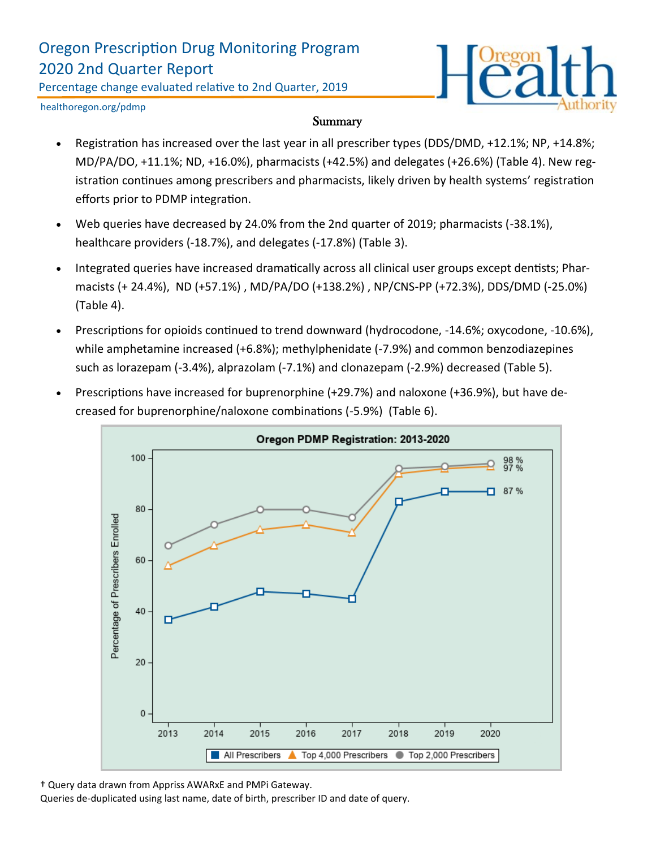## Oregon Prescription Drug Monitoring Program 2020 2nd Quarter Report

Percentage change evaluated relative to 2nd Quarter, 2019



healthoregon.org/pdmp

#### **Summary**

- Registration has increased over the last year in all prescriber types (DDS/DMD, +12.1%; NP, +14.8%; MD/PA/DO, +11.1%; ND, +16.0%), pharmacists (+42.5%) and delegates (+26.6%) (Table 4). New registration continues among prescribers and pharmacists, likely driven by health systems' registration efforts prior to PDMP integration.
- Web queries have decreased by 24.0% from the 2nd quarter of 2019; pharmacists (-38.1%), healthcare providers (-18.7%), and delegates (-17.8%) (Table 3).
- Integrated queries have increased dramatically across all clinical user groups except dentists; Pharmacists (+ 24.4%), ND (+57.1%) , MD/PA/DO (+138.2%) , NP/CNS-PP (+72.3%), DDS/DMD (-25.0%) (Table 4).
- Prescriptions for opioids continued to trend downward (hydrocodone, -14.6%; oxycodone, -10.6%), while amphetamine increased (+6.8%); methylphenidate (-7.9%) and common benzodiazepines such as lorazepam (-3.4%), alprazolam (-7.1%) and clonazepam (-2.9%) decreased (Table 5).
- Prescriptions have increased for buprenorphine (+29.7%) and naloxone (+36.9%), but have decreased for buprenorphine/naloxone combinations (-5.9%) (Table 6).



† Query data drawn from Appriss AWARxE and PMPi Gateway.

Queries de-duplicated using last name, date of birth, prescriber ID and date of query.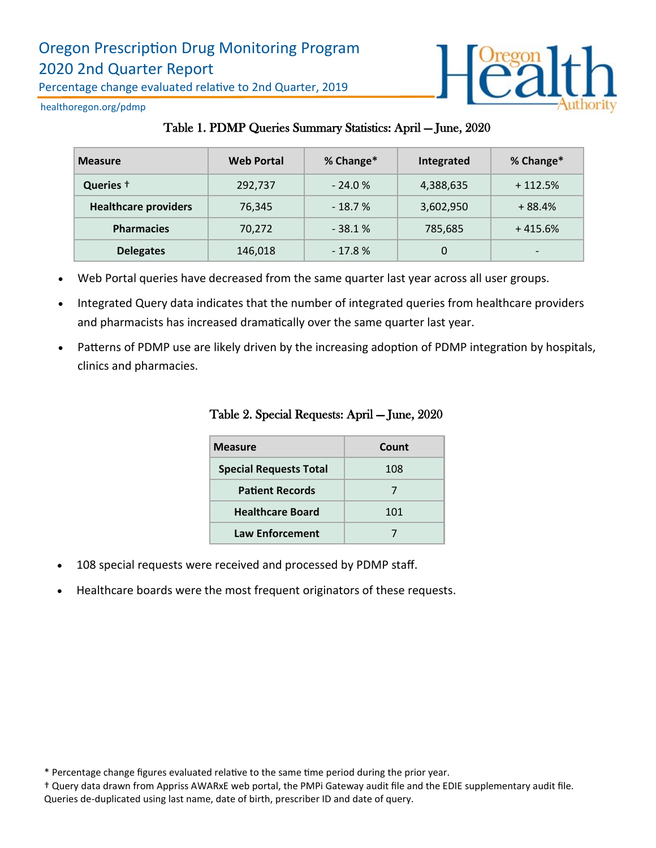

healthoregon.org/pdmp

|  |  |  |  |  |  | Table 1. PDMP Queries Summary Statistics: April - June, 2020 |
|--|--|--|--|--|--|--------------------------------------------------------------|
|--|--|--|--|--|--|--------------------------------------------------------------|

| <b>Measure</b>              | <b>Web Portal</b> | % Change* | Integrated | % Change*                |
|-----------------------------|-------------------|-----------|------------|--------------------------|
| Queries +                   | 292,737           | $-24.0%$  | 4,388,635  | $+112.5%$                |
| <b>Healthcare providers</b> | 76.345            | $-18.7%$  | 3,602,950  | $+88.4%$                 |
| <b>Pharmacies</b>           | 70.272            | $-38.1%$  | 785,685    | $+415.6%$                |
| <b>Delegates</b>            | 146,018           | $-17.8%$  | 0          | $\overline{\phantom{0}}$ |

- Web Portal queries have decreased from the same quarter last year across all user groups.
- Integrated Query data indicates that the number of integrated queries from healthcare providers and pharmacists has increased dramatically over the same quarter last year.
- Patterns of PDMP use are likely driven by the increasing adoption of PDMP integration by hospitals, clinics and pharmacies.

| <b>Measure</b>                | Count |
|-------------------------------|-------|
| <b>Special Requests Total</b> | 108   |
| <b>Patient Records</b>        |       |
| <b>Healthcare Board</b>       | 101   |
| <b>Law Enforcement</b>        |       |

#### Table 2. Special Requests: April — June, 2020

- 108 special requests were received and processed by PDMP staff.
- Healthcare boards were the most frequent originators of these requests.

† Query data drawn from Appriss AWARxE web portal, the PMPi Gateway audit file and the EDIE supplementary audit file. Queries de-duplicated using last name, date of birth, prescriber ID and date of query.

<sup>\*</sup> Percentage change figures evaluated relative to the same time period during the prior year.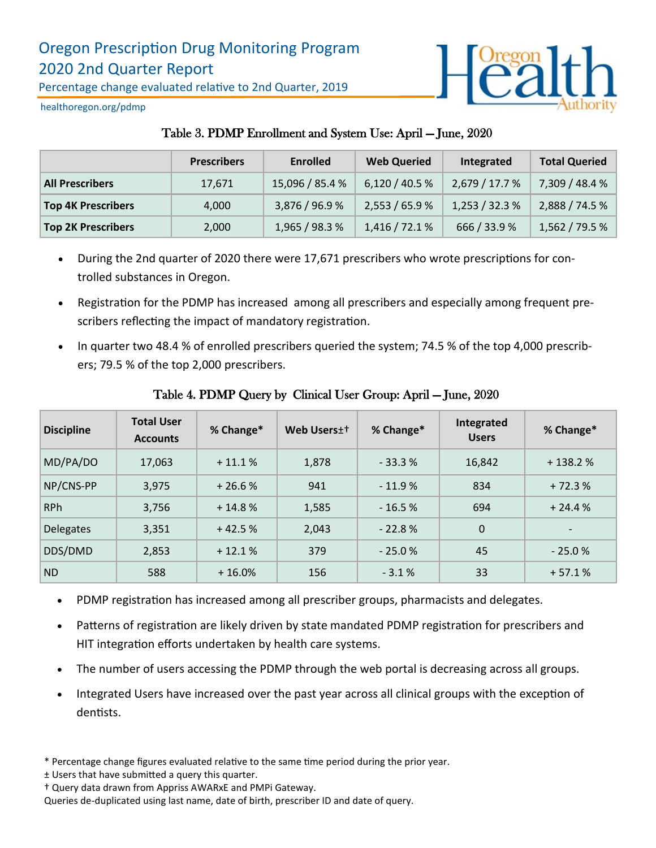

healthoregon.org/pdmp

### Table 3. PDMP Enrollment and System Use: April — June, 2020

|                           | <b>Prescribers</b> | <b>Enrolled</b> | <b>Web Queried</b> | Integrated   | <b>Total Queried</b> |
|---------------------------|--------------------|-----------------|--------------------|--------------|----------------------|
| <b>All Prescribers</b>    | 17.671             | 15,096 / 85.4 % | 6,120/40.5%        | 2,679/17.7%  | 7,309 / 48.4 %       |
| <b>Top 4K Prescribers</b> | 4,000              | 3,876 / 96.9 %  | 2,553 / 65.9 %     | 1,253/32.3%  | 2,888 / 74.5 %       |
| <b>Top 2K Prescribers</b> | 2,000              | 1,965/98.3%     | 1,416/72.1%        | 666 / 33.9 % | 1,562 / 79.5 %       |

- During the 2nd quarter of 2020 there were 17,671 prescribers who wrote prescriptions for controlled substances in Oregon.
- Registration for the PDMP has increased among all prescribers and especially among frequent prescribers reflecting the impact of mandatory registration.
- In quarter two 48.4 % of enrolled prescribers queried the system; 74.5 % of the top 4,000 prescribers; 79.5 % of the top 2,000 prescribers.

| <b>Discipline</b> | <b>Total User</b><br><b>Accounts</b> | % Change* | Web Users <sup>++</sup> | % Change* | Integrated<br><b>Users</b> | % Change* |
|-------------------|--------------------------------------|-----------|-------------------------|-----------|----------------------------|-----------|
| MD/PA/DO          | 17,063                               | $+11.1%$  | 1,878                   | $-33.3%$  | 16,842                     | $+138.2%$ |
| NP/CNS-PP         | 3,975                                | $+26.6%$  | 941                     | $-11.9%$  | 834                        | $+72.3%$  |
| <b>RPh</b>        | 3,756                                | $+14.8%$  | 1,585                   | $-16.5%$  | 694                        | $+24.4%$  |
| <b>Delegates</b>  | 3,351                                | $+42.5%$  | 2,043                   | $-22.8%$  | $\Omega$                   |           |
| DDS/DMD           | 2,853                                | $+12.1%$  | 379                     | $-25.0%$  | 45                         | $-25.0%$  |
| <b>ND</b>         | 588                                  | $+16.0%$  | 156                     | $-3.1%$   | 33                         | $+57.1%$  |

### Table 4. PDMP Query by Clinical User Group: April — June, 2020

- PDMP registration has increased among all prescriber groups, pharmacists and delegates.
- Patterns of registration are likely driven by state mandated PDMP registration for prescribers and HIT integration efforts undertaken by health care systems.
- The number of users accessing the PDMP through the web portal is decreasing across all groups.
- Integrated Users have increased over the past year across all clinical groups with the exception of dentists.
- \* Percentage change figures evaluated relative to the same time period during the prior year.
- ± Users that have submitted a query this quarter.
- † Query data drawn from Appriss AWARxE and PMPi Gateway.

Queries de-duplicated using last name, date of birth, prescriber ID and date of query.